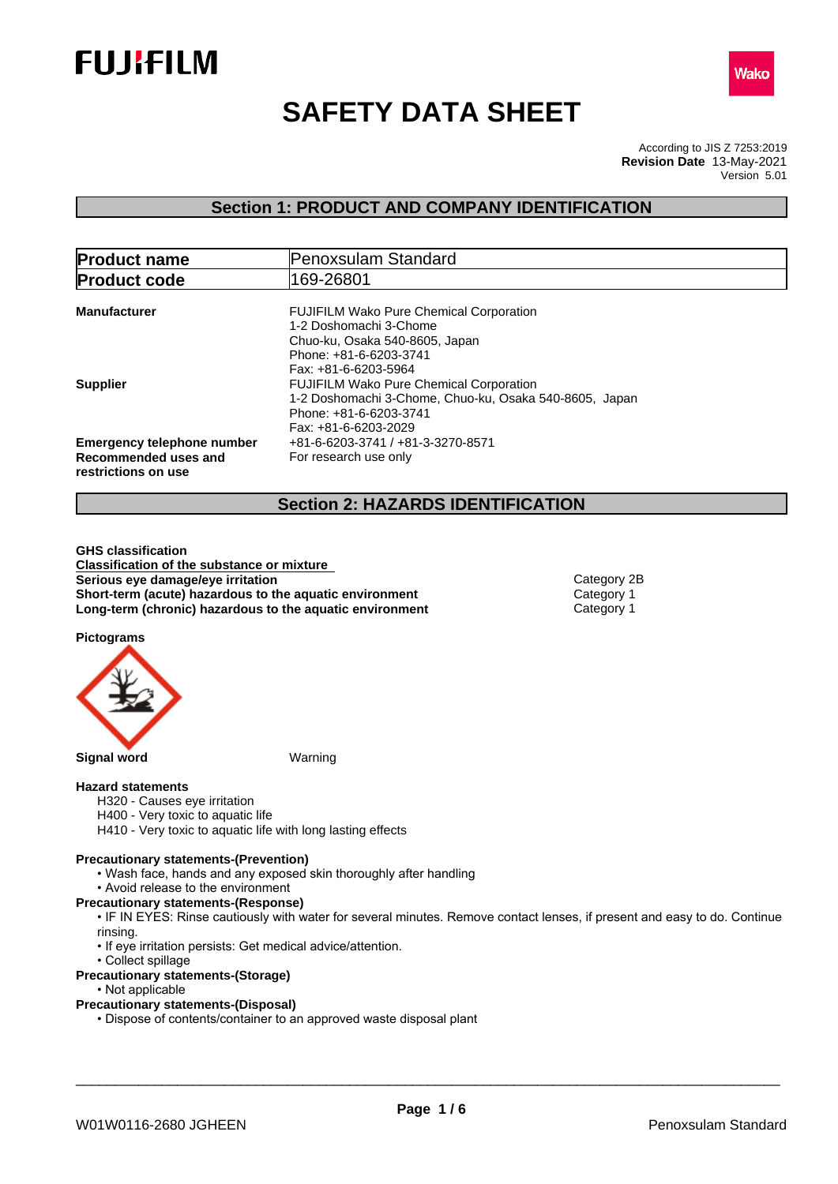



# **SAFETY DATA SHEET**

According to JIS Z 7253:2019 Version 5.01 **Revision Date** 13-May-2021

## **Section 1: PRODUCT AND COMPANY IDENTIFICATION**

| <b>Product name</b>                                                              | Penoxsulam Standard                                                                                                                                                                  |  |
|----------------------------------------------------------------------------------|--------------------------------------------------------------------------------------------------------------------------------------------------------------------------------------|--|
| <b>Product code</b>                                                              | 169-26801                                                                                                                                                                            |  |
| <b>Manufacturer</b>                                                              | <b>FUJIFILM Wako Pure Chemical Corporation</b><br>1-2 Doshomachi 3-Chome<br>Chuo-ku, Osaka 540-8605, Japan                                                                           |  |
| <b>Supplier</b>                                                                  | Phone: +81-6-6203-3741<br>Fax: +81-6-6203-5964<br><b>FUJIFILM Wako Pure Chemical Corporation</b><br>1-2 Doshomachi 3-Chome, Chuo-ku, Osaka 540-8605, Japan<br>Phone: +81-6-6203-3741 |  |
| <b>Emergency telephone number</b><br>Recommended uses and<br>restrictions on use | Fax: +81-6-6203-2029<br>+81-6-6203-3741 / +81-3-3270-8571<br>For research use only                                                                                                   |  |

## **Section 2: HAZARDS IDENTIFICATION**

**GHS classification Classification of the substance or mixture Serious** eye damage/eye irritation **Category 2B Category 2B Short-term (acute) hazardous to the aquatic environment** Category 1<br> **Long-term (chronic) hazardous to the aquatic environment** Category 1 **Long-term (chronic) hazardous to the aquatic environment** 

**Pictograms**



#### **Hazard statements**

- H320 Causes eye irritation
- H400 Very toxic to aquatic life
- H410 Very toxic to aquatic life with long lasting effects

#### **Precautionary statements-(Prevention)**

- Wash face, hands and any exposed skin thoroughly after handling
- Avoid release to the environment
- **Precautionary statements-(Response)**
	- IF IN EYES: Rinse cautiously with water for several minutes. Remove contact lenses, if present and easy to do. Continue rinsing.
	- If eye irritation persists: Get medical advice/attention.
- Collect spillage
- **Precautionary statements-(Storage)**
	- Not applicable
- **Precautionary statements-(Disposal)**
	- Dispose of contents/container to an approved waste disposal plant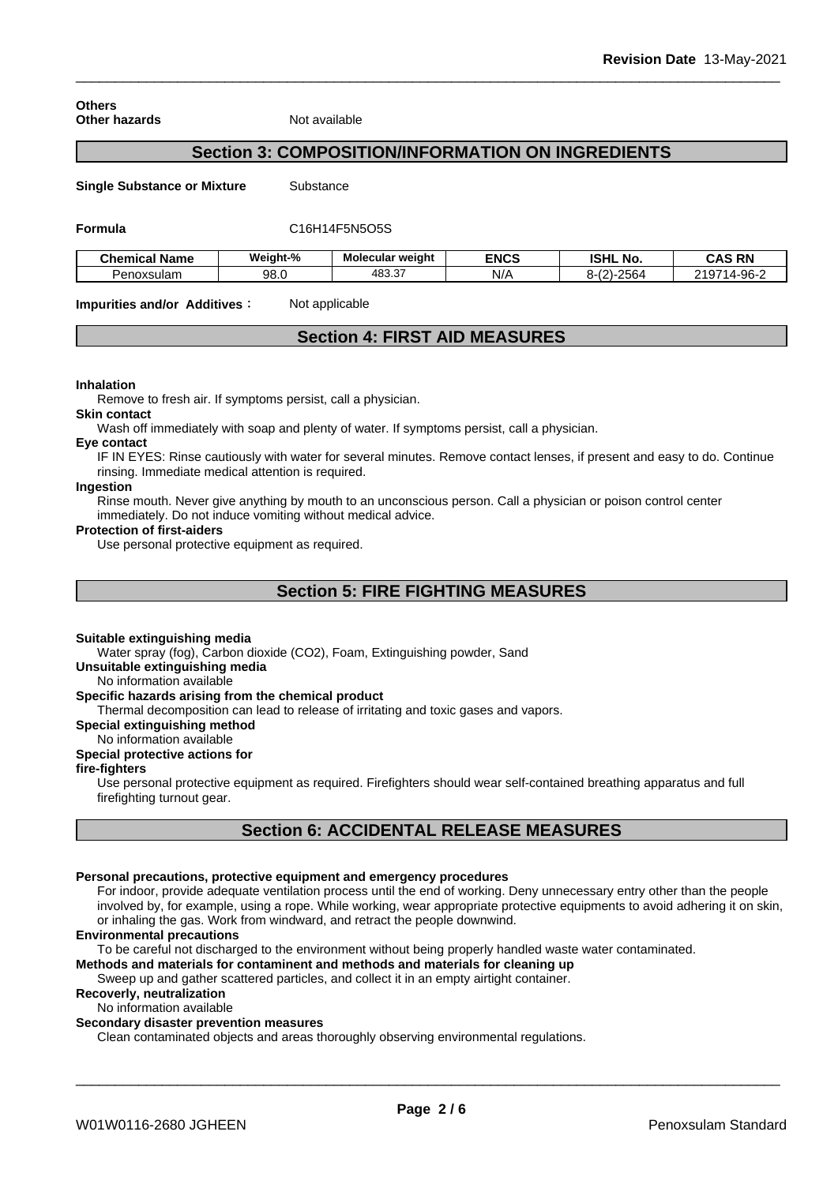**Others Other hazards** Not available

## **Section 3: COMPOSITION/INFORMATION ON INGREDIENTS**

**Single Substance or Mixture** Substance

#### **Formula** C16H14F5N5O5S

| <b>Chemical Name</b> | Weight-% | Molecular weight       | <b>ENCS</b> | <b>ISHL</b><br>. No.                                                       | <b>CAS RN</b>                      |
|----------------------|----------|------------------------|-------------|----------------------------------------------------------------------------|------------------------------------|
| Penoxsulam           | 98.0     | <b>AR3 37</b><br>יט.ט+ | N/A         | $\sim$ $\sim$ $\sim$<br>$\sim$<br>ດ<br>$1 - 2562$<br>0-1Z.<br>. . <i>.</i> | <b>0407</b><br>.4-96- <sup>~</sup> |

**Impurities and/or Additives:** Not applicable

## **Section 4: FIRST AID MEASURES**

#### **Inhalation**

Remove to fresh air. If symptoms persist, call a physician.

#### **Skin contact**

Wash off immediately with soap and plenty of water. If symptoms persist, call a physician.

#### **Eye contact**

IF IN EYES: Rinse cautiously with water for several minutes. Remove contact lenses, if present and easy to do. Continue rinsing. Immediate medical attention is required.

## **Ingestion**

Rinse mouth. Never give anything by mouth to an unconscious person. Call a physician or poison control center immediately. Do not induce vomiting without medical advice.

#### **Protection of first-aiders**

Use personal protective equipment as required.

## **Section 5: FIRE FIGHTING MEASURES**

#### **Suitable extinguishing media**

Water spray (fog), Carbon dioxide (CO2), Foam, Extinguishing powder, Sand

#### **Unsuitable extinguishing media**

No information available

#### **Specific hazards arising from the chemical product**

Thermal decomposition can lead to release of irritating and toxic gases and vapors.

#### **Special extinguishing method**

No information available

## **Special protective actions for**

## **fire-fighters**

Use personal protective equipment as required.Firefighters should wear self-contained breathing apparatus and full firefighting turnout gear.

## **Section 6: ACCIDENTAL RELEASE MEASURES**

## **Personal precautions, protective equipment and emergency procedures**

For indoor, provide adequate ventilation process until the end of working. Deny unnecessary entry other than the people involved by, for example, using a rope. While working, wear appropriate protective equipments to avoid adhering it on skin, or inhaling the gas. Work from windward, and retract the people downwind.

#### **Environmental precautions**

To be careful not discharged to the environment without being properly handled waste water contaminated.

## **Methods and materials for contaminent and methods and materials for cleaning up**

Sweep up and gather scattered particles, and collect it in an empty airtight container.

## **Recoverly, neutralization**

No information available

## **Secondary disaster prevention measures**

Clean contaminated objects and areas thoroughly observing environmental regulations.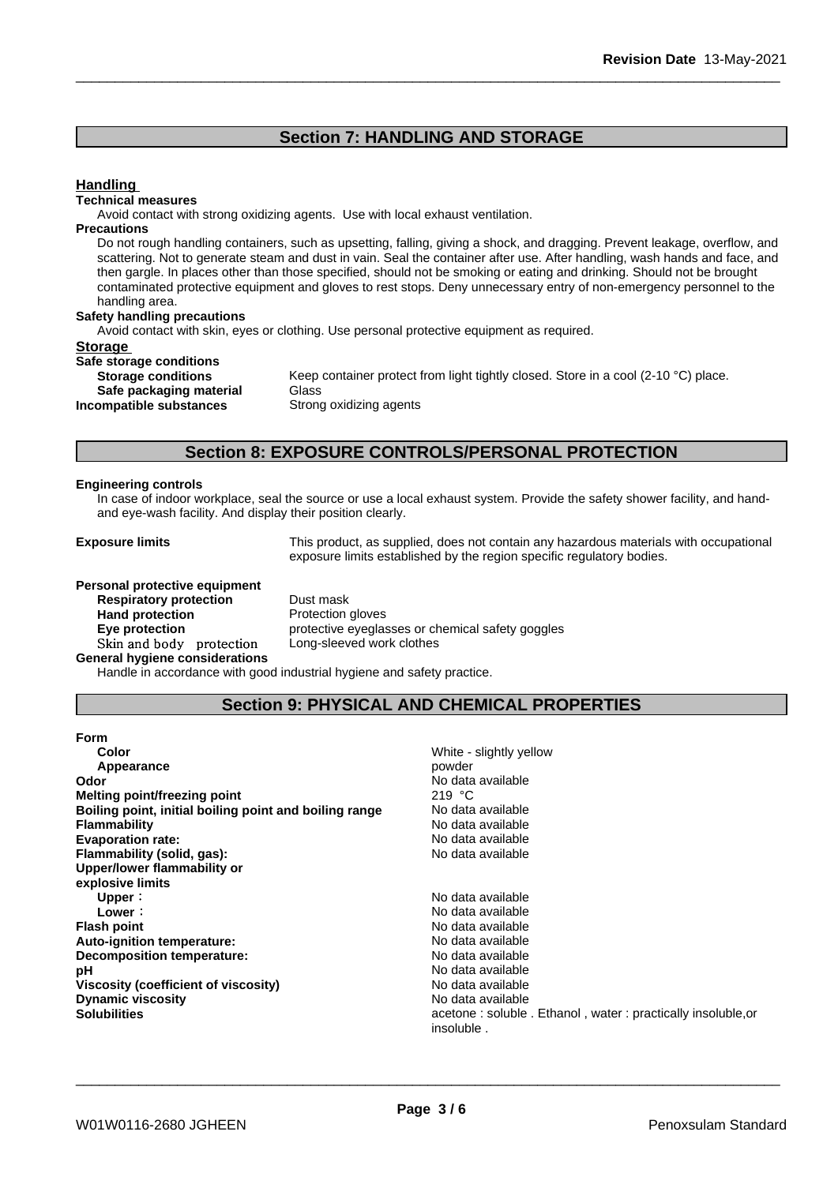## **Section 7: HANDLING AND STORAGE**

## **Handling**

#### **Technical measures**

Avoid contact with strong oxidizing agents. Use with local exhaust ventilation.

### **Precautions**

Do not rough handling containers, such as upsetting, falling, giving a shock, and dragging. Prevent leakage, overflow, and scattering. Not to generate steam and dust in vain. Seal the container after use. After handling, wash hands and face, and then gargle. In places other than those specified, should not be smoking or eating and drinking. Should not be brought contaminated protective equipment and gloves to rest stops. Deny unnecessary entry of non-emergency personnel to the handling area.

#### **Safety handling precautions**

Avoid contact with skin, eyes or clothing. Use personal protective equipment as required.

### **Storage**

| Safe storage conditions   |             |
|---------------------------|-------------|
| <b>Storage conditions</b> | Keep conta  |
| Safe packaging material   | Glass       |
| Incompatible substances   | Strong oxid |

Keep container protect from light tightly closed. Store in a cool (2-10 °C) place. **Safe packaging material** Glass **Strong oxidizing agents** 

## **Section 8: EXPOSURE CONTROLS/PERSONAL PROTECTION**

#### **Engineering controls**

In case of indoor workplace, seal the source or use a local exhaust system. Provide the safety shower facility, and handand eye-wash facility. And display their position clearly.

**Exposure limits** This product, as supplied, does not contain any hazardous materials with occupational exposure limits established by the region specific regulatory bodies.

#### **Personal protective equipment**

**Respiratory protection** Dust mask **Hand protection**<br> **Eye protection**<br> **Eye protection**<br> **Exercise Protective eveglation** Skin and body protection **General hygiene considerations**

protective eyeglasses or chemical safety goggles<br>Long-sleeved work clothes

Handle in accordance with good industrial hygiene and safety practice.

## **Section 9: PHYSICAL AND CHEMICAL PROPERTIES**

| <b>Form</b>                                            |                                                             |
|--------------------------------------------------------|-------------------------------------------------------------|
| Color                                                  | White - slightly yellow                                     |
| Appearance                                             | powder                                                      |
| Odor                                                   | No data available                                           |
| Melting point/freezing point                           | 219 $\degree$ C                                             |
| Boiling point, initial boiling point and boiling range | No data available                                           |
| <b>Flammability</b>                                    | No data available                                           |
| <b>Evaporation rate:</b>                               | No data available                                           |
| Flammability (solid, gas):                             | No data available                                           |
| Upper/lower flammability or                            |                                                             |
| explosive limits                                       |                                                             |
| Upper:                                                 | No data available                                           |
| Lower:                                                 | No data available                                           |
| <b>Flash point</b>                                     | No data available                                           |
| Auto-ignition temperature:                             | No data available                                           |
| Decomposition temperature:                             | No data available                                           |
| рH                                                     | No data available                                           |
| Viscosity (coefficient of viscosity)                   | No data available                                           |
| <b>Dynamic viscosity</b>                               | No data available                                           |
| <b>Solubilities</b>                                    | acetone: soluble. Ethanol, water: practically insoluble, or |
|                                                        | insoluble                                                   |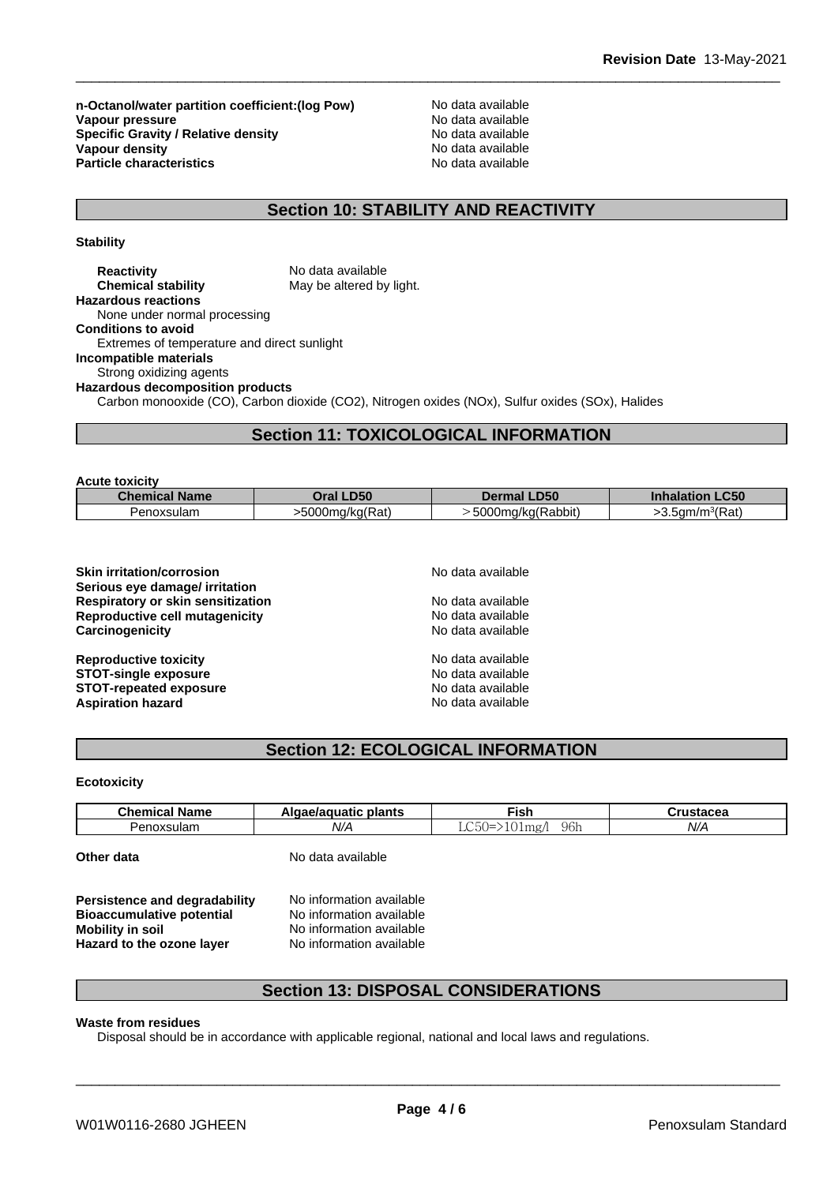**n-Octanol/water partition coefficient:(log Pow) No data available<br>
<b>Vapour pressure** No data available **Vapour pressure**<br> **Specific Gravity / Relative density**<br> **Specific Gravity / Relative density**<br> **No data available Specific Gravity / Relative density Vapour density**<br> **Particle characteristics**<br> **Particle characteristics**<br> **Particle characteristics Particle characteristics** 

## **Section 10: STABILITY AND REACTIVITY**

**Stability**

| <b>Reactivity</b>                           | No data available                                                                                |
|---------------------------------------------|--------------------------------------------------------------------------------------------------|
| <b>Chemical stability</b>                   | May be altered by light.                                                                         |
| <b>Hazardous reactions</b>                  |                                                                                                  |
| None under normal processing                |                                                                                                  |
| <b>Conditions to avoid</b>                  |                                                                                                  |
| Extremes of temperature and direct sunlight |                                                                                                  |
| Incompatible materials                      |                                                                                                  |
| Strong oxidizing agents                     |                                                                                                  |
| <b>Hazardous decomposition products</b>     |                                                                                                  |
|                                             | Carbon monooxide (CO), Carbon dioxide (CO2), Nitrogen oxides (NOx), Sulfur oxides (SOx), Halides |

## **Section 11: TOXICOLOGICAL INFORMATION**

| Oral LD50<br><b>Inhalation LC50</b><br><b>Chemical Name</b><br><b>Dermal LD50</b> | <b>Acute toxicity</b> |                 |                   |                             |
|-----------------------------------------------------------------------------------|-----------------------|-----------------|-------------------|-----------------------------|
|                                                                                   |                       |                 |                   |                             |
|                                                                                   | Penoxsulam            | >5000mg/kg(Rat) | 5000mg/kg(Rabbit) | >3.5qm/m <sup>3</sup> (Rat) |

| <b>Skin irritation/corrosion</b><br>Serious eye damage/ irritation | No data available |  |  |
|--------------------------------------------------------------------|-------------------|--|--|
| <b>Respiratory or skin sensitization</b>                           | No data available |  |  |
| Reproductive cell mutagenicity                                     | No data available |  |  |
| Carcinogenicity                                                    | No data available |  |  |
| <b>Reproductive toxicity</b>                                       | No data available |  |  |
| <b>STOT-single exposure</b>                                        | No data available |  |  |
| <b>STOT-repeated exposure</b>                                      | No data available |  |  |
| <b>Aspiration hazard</b>                                           | No data available |  |  |

## **Section 12: ECOLOGICAL INFORMATION**

**Ecotoxicity**

| Chem<br>.<br>Name             | plants<br>atıc | ∃isł                                             | 110100000 |
|-------------------------------|----------------|--------------------------------------------------|-----------|
| xsulam<br>nvo<br>zeno<br>. JA | $N$ //         | $\cap$<br>--<br>----<br>- Apri<br>$\sim$<br>119' | N/f       |

**Other data** No data available

**Persistence and degradability** No information available **Bioaccumulative potential** No information available<br> **Mobility in soil** No information available **Hazard** to the ozone layer

No information available<br>No information available

## **Section 13: DISPOSAL CONSIDERATIONS**

### **Waste from residues**

Disposal should be in accordance with applicable regional, national and local laws and regulations.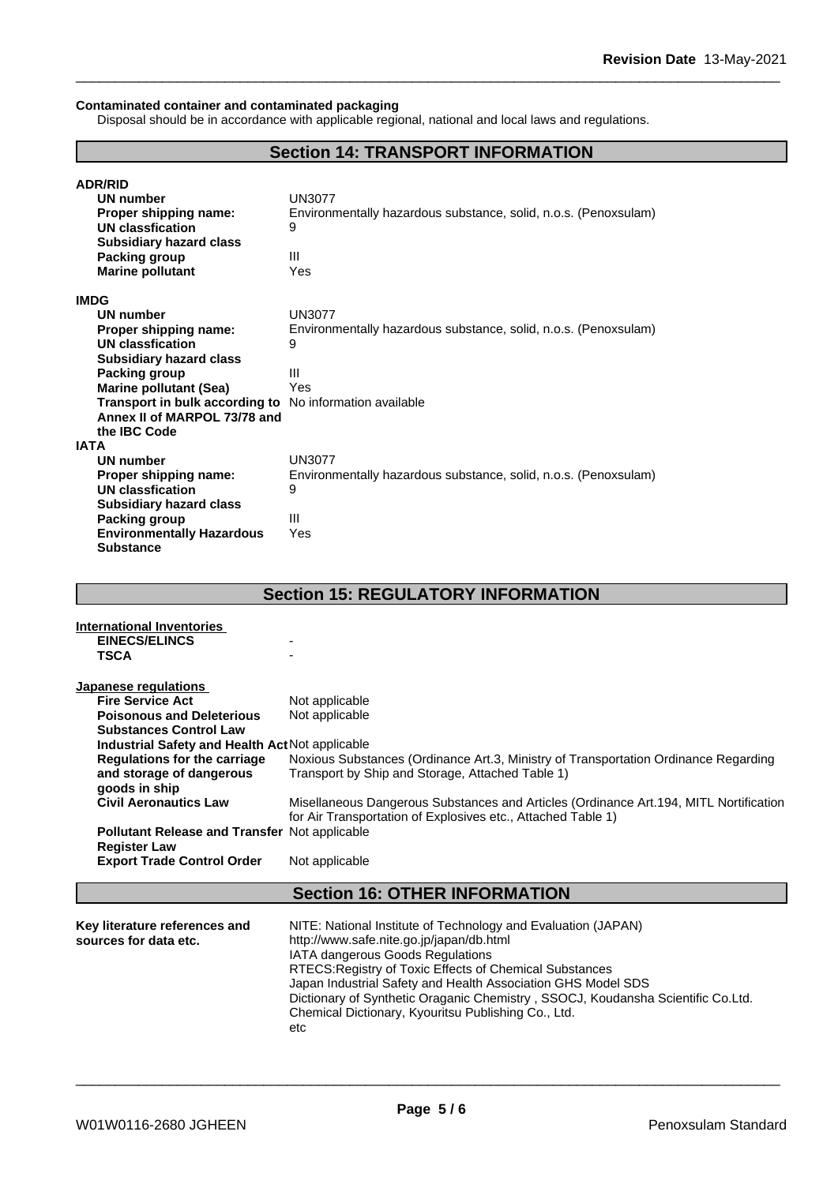#### **Contaminated container and contaminated packaging**

Disposal should be in accordance with applicable regional, national and local laws and regulations.

## **Section 14: TRANSPORT INFORMATION**

| <b>ADR/RID</b>                                          |                                                                 |
|---------------------------------------------------------|-----------------------------------------------------------------|
| UN number                                               | <b>UN3077</b>                                                   |
| Proper shipping name:                                   | Environmentally hazardous substance, solid, n.o.s. (Penoxsulam) |
| <b>UN classfication</b>                                 | 9                                                               |
| <b>Subsidiary hazard class</b>                          |                                                                 |
| Packing group                                           | Ш                                                               |
| <b>Marine pollutant</b>                                 | Yes                                                             |
| <b>IMDG</b>                                             |                                                                 |
| <b>UN number</b>                                        | <b>UN3077</b>                                                   |
| Proper shipping name:                                   | Environmentally hazardous substance, solid, n.o.s. (Penoxsulam) |
| UN classfication                                        | 9                                                               |
| <b>Subsidiary hazard class</b>                          |                                                                 |
| Packing group                                           | $\mathbf{III}$                                                  |
| <b>Marine pollutant (Sea)</b>                           | Yes                                                             |
| Transport in bulk according to No information available |                                                                 |
| Annex II of MARPOL 73/78 and                            |                                                                 |
| the <b>IBC</b> Code                                     |                                                                 |
| IATA                                                    |                                                                 |
| UN number                                               | <b>UN3077</b>                                                   |
| Proper shipping name:                                   | Environmentally hazardous substance, solid, n.o.s. (Penoxsulam) |
| UN classfication                                        | 9                                                               |
| <b>Subsidiary hazard class</b>                          |                                                                 |
| Packing group                                           | Ш                                                               |
| <b>Environmentally Hazardous</b>                        | Yes                                                             |
| <b>Substance</b>                                        |                                                                 |

## **Section 15: REGULATORY INFORMATION**

| International Inventories<br><b>EINECS/ELINCS</b><br><b>TSCA</b> |                                                                                                                                                        |
|------------------------------------------------------------------|--------------------------------------------------------------------------------------------------------------------------------------------------------|
| Japanese regulations                                             |                                                                                                                                                        |
| <b>Fire Service Act</b>                                          | Not applicable                                                                                                                                         |
| <b>Poisonous and Deleterious</b>                                 | Not applicable                                                                                                                                         |
| <b>Substances Control Law</b>                                    |                                                                                                                                                        |
| Industrial Safety and Health Act Not applicable                  |                                                                                                                                                        |
| Regulations for the carriage                                     | Noxious Substances (Ordinance Art.3, Ministry of Transportation Ordinance Regarding                                                                    |
| and storage of dangerous                                         | Transport by Ship and Storage, Attached Table 1)                                                                                                       |
| goods in ship                                                    |                                                                                                                                                        |
| <b>Civil Aeronautics Law</b>                                     | Misellaneous Dangerous Substances and Articles (Ordinance Art. 194, MITL Nortification<br>for Air Transportation of Explosives etc., Attached Table 1) |
| <b>Pollutant Release and Transfer Not applicable</b>             |                                                                                                                                                        |
| <b>Register Law</b>                                              |                                                                                                                                                        |
| <b>Export Trade Control Order</b>                                | Not applicable                                                                                                                                         |
|                                                                  |                                                                                                                                                        |

## **Section 16: OTHER INFORMATION**

| Key literature references and | NITE: National Institute of Technology and Evaluation (JAPAN)                   |
|-------------------------------|---------------------------------------------------------------------------------|
| sources for data etc.         | http://www.safe.nite.go.jp/japan/db.html                                        |
|                               | <b>IATA dangerous Goods Regulations</b>                                         |
|                               | RTECS: Registry of Toxic Effects of Chemical Substances                         |
|                               | Japan Industrial Safety and Health Association GHS Model SDS                    |
|                               | Dictionary of Synthetic Oraganic Chemistry, SSOCJ, Koudansha Scientific Co.Ltd. |
|                               | Chemical Dictionary, Kyouritsu Publishing Co., Ltd.                             |
|                               | etc                                                                             |
|                               |                                                                                 |